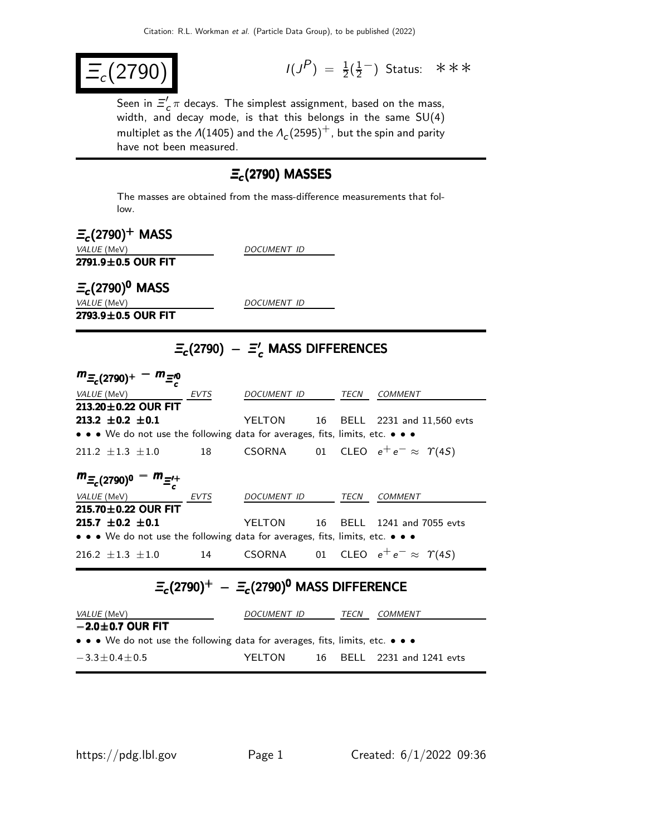$$
\boxed{\Xi_c(2790)}\qquad \qquad \text{if } \quad
$$

 $P$ ) =  $\frac{1}{2}(\frac{1}{2})$  $\frac{1}{2}^{\text{--}}$ ) Status: ∗∗∗

Seen in  $\Xi_c^{\prime}$  $_c^\prime\pi$  decays. The simplest assignment, based on the mass, width, and decay mode, is that this belongs in the same SU(4) multiplet as the  $\Lambda(1405)$  and the  $\Lambda_c(2595)^+$ , but the spin and parity have not been measured.

### $\Xi_c$ (2790) MASSES

The masses are obtained from the mass-difference measurements that follow.

 $\Xi_c$ (2790)<sup>+</sup> MASS  $2791.9 \pm 0.5$  OUR FIT

DOCUMENT ID

 $\Xi_c$ (2790) $^0$  MASS VALUE (MeV) DOCUMENT ID  $2793.9 \pm 0.5$  OUR FIT

# $\Xi_c$ (2790) –  $\Xi_c'$  mass differences

| $m_{\Xi_c(2790)^+}$<br>$- m_{\equiv 0}$                                                                               |             |             |    |      |                                       |  |
|-----------------------------------------------------------------------------------------------------------------------|-------------|-------------|----|------|---------------------------------------|--|
| VALUE (MeV)                                                                                                           | <b>EVTS</b> | DOCUMENT ID |    | TECN | COMMENT                               |  |
| 213.20 $\pm$ 0.22 OUR FIT                                                                                             |             |             |    |      |                                       |  |
| 213.2 $\pm$ 0.2 $\pm$ 0.1                                                                                             |             | YELTON 16   |    |      | BELL 2231 and 11,560 evts             |  |
| $\bullet \bullet \bullet$ We do not use the following data for averages, fits, limits, etc. $\bullet \bullet \bullet$ |             |             |    |      |                                       |  |
| $211.2 + 1.3 + 1.0$                                                                                                   | 18          | CSORNA      |    |      | 01 CLEO $e^+e^- \approx \Upsilon(4S)$ |  |
| $m_{\Xi_c(2790)^0} - m_{\Xi_c^{+}}$                                                                                   |             |             |    |      |                                       |  |
| VALUE (MeV)                                                                                                           | <b>EVTS</b> | DOCUMENT ID |    | TECN | COMMENT                               |  |
| 215.70 $\pm$ 0.22 OUR FIT                                                                                             |             |             |    |      |                                       |  |
| 215.7 $\pm$ 0.2 $\pm$ 0.1                                                                                             |             | YELTON      | 16 | BELL | 1241 and 7055 evts                    |  |
| • • • We do not use the following data for averages, fits, limits, etc. • • •                                         |             |             |    |      |                                       |  |
| $216.2 + 1.3 + 1.0$                                                                                                   | 14          | CSORNA      |    |      | 01 CLEO $e^+e^- \approx \Upsilon(4S)$ |  |

## $\Xi_c$ (2790) $^+$  –  $\Xi_c$ (2790) $^0$  MASS DIFFERENCE

| <i>VALUE</i> (MeV)                                                                                                    | DOCUMENT ID |  | <b>TFCN</b> | COMMENT                    |  |
|-----------------------------------------------------------------------------------------------------------------------|-------------|--|-------------|----------------------------|--|
| $-2.0\pm0.7$ OUR FIT                                                                                                  |             |  |             |                            |  |
| $\bullet \bullet \bullet$ We do not use the following data for averages, fits, limits, etc. $\bullet \bullet \bullet$ |             |  |             |                            |  |
| $-3.3 \pm 0.4 \pm 0.5$                                                                                                | YFI TON     |  |             | 16 BELL 2231 and 1241 evts |  |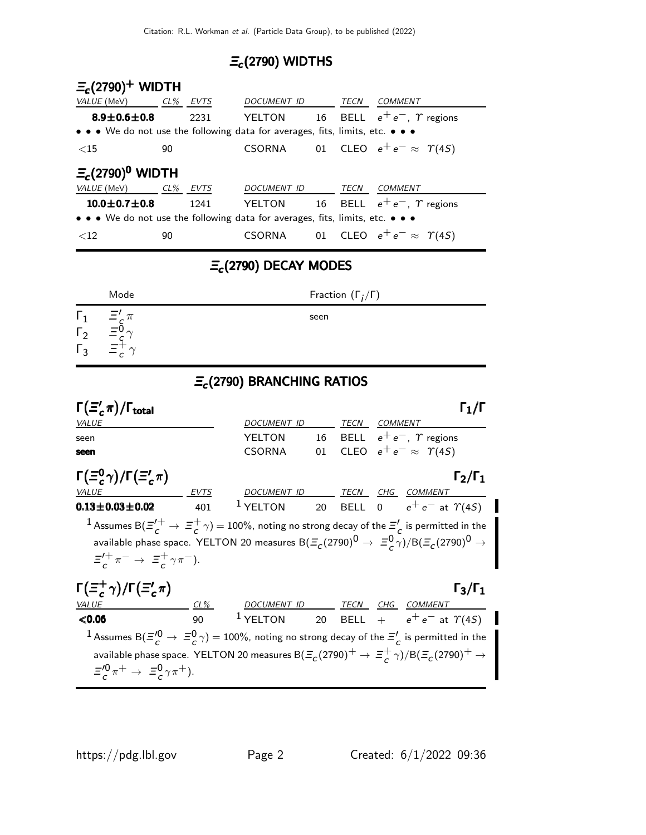## $\Xi_c$ (2790) WIDTHS

| $\Xi_c(2790)^+$ WIDTH                                                         |        |      |               |    |      |                                       |
|-------------------------------------------------------------------------------|--------|------|---------------|----|------|---------------------------------------|
| VALUE (MeV)                                                                   | $CL\%$ | EVTS | DOCUMENT ID   |    | TECN | COMMENT                               |
| $8.9 \pm 0.6 \pm 0.8$                                                         |        | 2231 | <b>YELTON</b> | 16 |      | BELL $e^+e^-$ , $\gamma$ regions      |
| • • • We do not use the following data for averages, fits, limits, etc. • • • |        |      |               |    |      |                                       |
| ${<}15$                                                                       | 90     |      | CSORNA        |    |      | 01 CLEO $e^+e^- \approx \Upsilon(4S)$ |
| $\Xi_c(2790)^0$ WIDTH                                                         |        |      |               |    |      |                                       |
| VALUE (MeV)                                                                   | $CL\%$ | EVTS | DOCUMENT ID   |    | TECN | <i>COMMENT</i>                        |
| $10.0 \pm 0.7 \pm 0.8$                                                        |        | 1241 | YELTON        | 16 |      | BELL $e^+e^-$ , $\gamma$ regions      |
| • • • We do not use the following data for averages, fits, limits, etc. • • • |        |      |               |    |      |                                       |
| ${<}12$                                                                       | 90     |      | <b>CSORNA</b> | 01 |      | CLEO $e^+e^- \approx \Upsilon(4S)$    |

# $\Xi_c$ (2790) DECAY MODES

|            | Mode                                                                                 | Fraction $(\Gamma_i/\Gamma)$ |
|------------|--------------------------------------------------------------------------------------|------------------------------|
| $\sqrt{2}$ | $\Xi'_c \pi$<br>$= 00$<br>$\overline{\phantom{0}}$<br>$\equiv$ <sub>c</sub> $\gamma$ | seen                         |

#### $E_c$ (2790) BRANCHING RATIOS